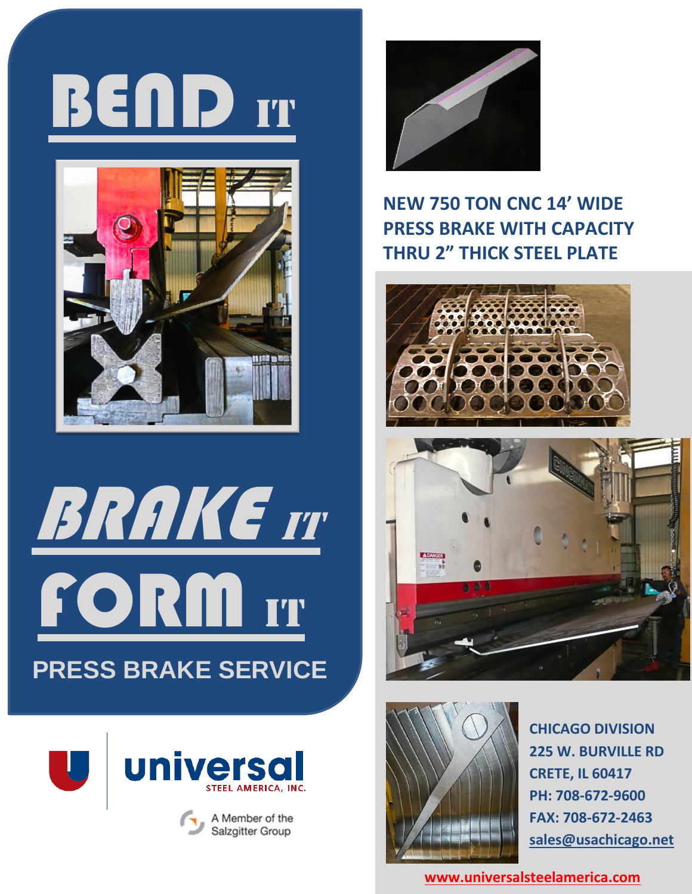











## **NEW 750 TON CNC 14' WIDE PRESS BRAKE WITH CAPACITY THRU 2" THICK STEEL PLATE**







**CHICAGO DIVISION 225 W. BURVILLE RD CRETE, IL 60417 PH: 708-672-9600 FAX: 708-672-2463 [sales@usachicago.net](mailto:sales@usachicago.net)**

**[www.universalsteelamerica.com](http://www.universalsteelamerica.com/)**